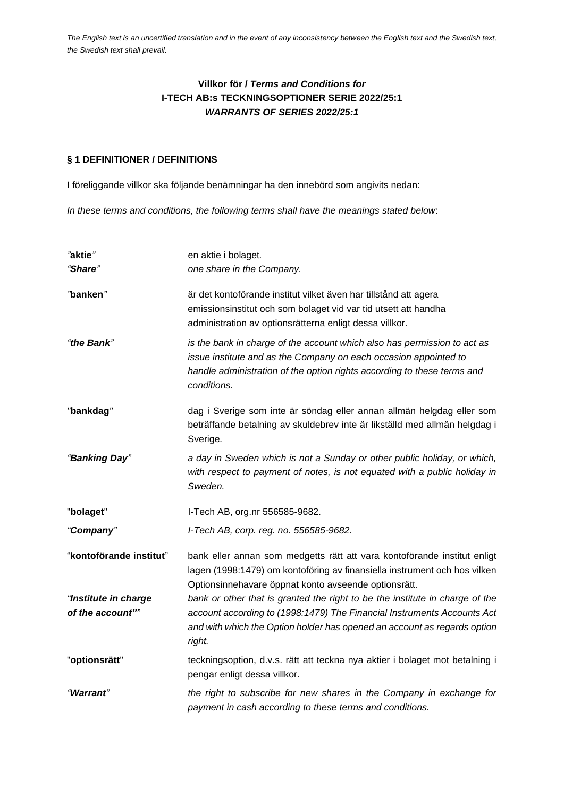# **Villkor för /** *Terms and Conditions for* **I-TECH AB:s TECKNINGSOPTIONER SERIE 2022/25:1** *WARRANTS OF SERIES 2022/25:1*

#### **§ 1 DEFINITIONER / DEFINITIONS**

I föreliggande villkor ska följande benämningar ha den innebörd som angivits nedan:

*In these terms and conditions, the following terms shall have the meanings stated below*:

| "aktie"                 | en aktie i bolaget.                                                                                                                                                                                                                    |  |  |
|-------------------------|----------------------------------------------------------------------------------------------------------------------------------------------------------------------------------------------------------------------------------------|--|--|
| "Share"                 | one share in the Company.                                                                                                                                                                                                              |  |  |
| "banken"                | är det kontoförande institut vilket även har tillstånd att agera<br>emissionsinstitut och som bolaget vid var tid utsett att handha<br>administration av optionsrätterna enligt dessa villkor.                                         |  |  |
| "the Bank"              | is the bank in charge of the account which also has permission to act as<br>issue institute and as the Company on each occasion appointed to<br>handle administration of the option rights according to these terms and<br>conditions. |  |  |
| "bankdag"               | dag i Sverige som inte är söndag eller annan allmän helgdag eller som<br>beträffande betalning av skuldebrev inte är likställd med allmän helgdag i<br>Sverige.                                                                        |  |  |
| "Banking Day"           | a day in Sweden which is not a Sunday or other public holiday, or which,<br>with respect to payment of notes, is not equated with a public holiday in<br>Sweden.                                                                       |  |  |
| "bolaget"               | I-Tech AB, org.nr 556585-9682.                                                                                                                                                                                                         |  |  |
| "Company"               | I-Tech AB, corp. reg. no. 556585-9682.                                                                                                                                                                                                 |  |  |
| "kontoförande institut" | bank eller annan som medgetts rätt att vara kontoförande institut enligt<br>lagen (1998:1479) om kontoföring av finansiella instrument och hos vilken<br>Optionsinnehavare öppnat konto avseende optionsrätt.                          |  |  |
| "Institute in charge    | bank or other that is granted the right to be the institute in charge of the                                                                                                                                                           |  |  |
| of the account""        | account according to (1998:1479) The Financial Instruments Accounts Act<br>and with which the Option holder has opened an account as regards option<br>right.                                                                          |  |  |
| "optionsrätt"           | teckningsoption, d.v.s. rätt att teckna nya aktier i bolaget mot betalning i<br>pengar enligt dessa villkor.                                                                                                                           |  |  |
| "Warrant"               | the right to subscribe for new shares in the Company in exchange for<br>payment in cash according to these terms and conditions.                                                                                                       |  |  |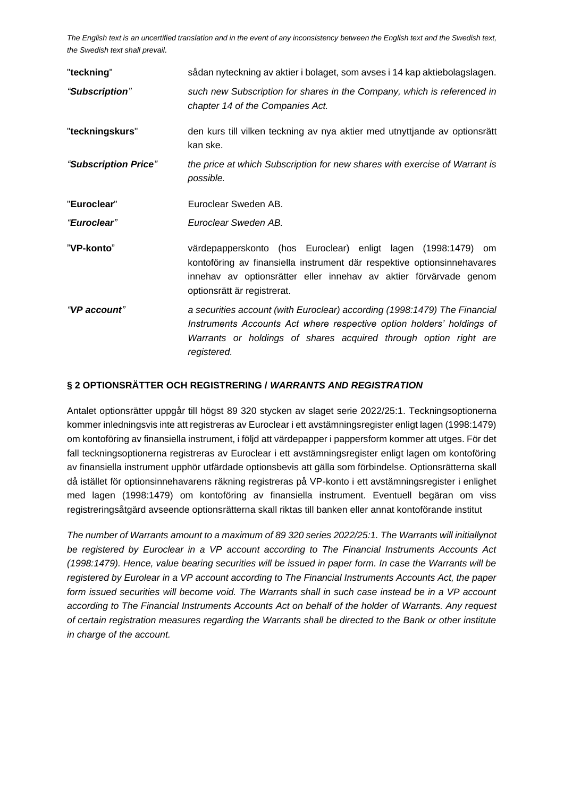| "teckning"           | sådan nyteckning av aktier i bolaget, som avses i 14 kap aktiebolagslagen.                                                                                                                                                                   |  |  |
|----------------------|----------------------------------------------------------------------------------------------------------------------------------------------------------------------------------------------------------------------------------------------|--|--|
| "Subscription"       | such new Subscription for shares in the Company, which is referenced in<br>chapter 14 of the Companies Act.                                                                                                                                  |  |  |
| "teckningskurs"      | den kurs till vilken teckning av nya aktier med utnyttjande av optionsrätt<br>kan ske.                                                                                                                                                       |  |  |
| "Subscription Price" | the price at which Subscription for new shares with exercise of Warrant is<br>possible.                                                                                                                                                      |  |  |
| "Euroclear"          | Euroclear Sweden AB.                                                                                                                                                                                                                         |  |  |
| "Euroclear"          | Euroclear Sweden AB.                                                                                                                                                                                                                         |  |  |
| "VP-konto"           | värdepapperskonto (hos Euroclear) enligt lagen (1998:1479) om<br>kontoföring av finansiella instrument där respektive optionsinnehavares<br>innehav av optionsrätter eller innehav av aktier förvärvade genom<br>optionsrätt är registrerat. |  |  |
| "VP account"         | a securities account (with Euroclear) according (1998:1479) The Financial<br>Instruments Accounts Act where respective option holders' holdings of<br>Warrants or holdings of shares acquired through option right are<br>registered.        |  |  |

#### **§ 2 OPTIONSRÄTTER OCH REGISTRERING /** *WARRANTS AND REGISTRATION*

Antalet optionsrätter uppgår till högst 89 320 stycken av slaget serie 2022/25:1. Teckningsoptionerna kommer inledningsvis inte att registreras av Euroclear i ett avstämningsregister enligt lagen (1998:1479) om kontoföring av finansiella instrument, i följd att värdepapper i pappersform kommer att utges. För det fall teckningsoptionerna registreras av Euroclear i ett avstämningsregister enligt lagen om kontoföring av finansiella instrument upphör utfärdade optionsbevis att gälla som förbindelse. Optionsrätterna skall då istället för optionsinnehavarens räkning registreras på VP-konto i ett avstämningsregister i enlighet med lagen (1998:1479) om kontoföring av finansiella instrument. Eventuell begäran om viss registreringsåtgärd avseende optionsrätterna skall riktas till banken eller annat kontoförande institut

*The number of Warrants amount to a maximum of 89 320 series 2022/25:1. The Warrants will initiallynot be registered by Euroclear in a VP account according to The Financial Instruments Accounts Act (1998:1479). Hence, value bearing securities will be issued in paper form. In case the Warrants will be registered by Eurolear in a VP account according to The Financial Instruments Accounts Act, the paper form issued securities will become void. The Warrants shall in such case instead be in a VP account according to The Financial Instruments Accounts Act on behalf of the holder of Warrants. Any request of certain registration measures regarding the Warrants shall be directed to the Bank or other institute in charge of the account.*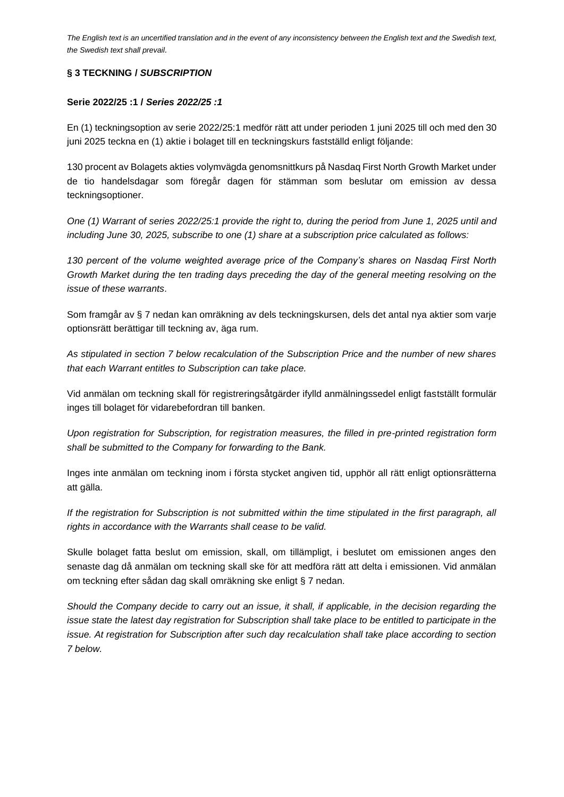### **§ 3 TECKNING /** *SUBSCRIPTION*

#### **Serie 2022/25 :1 /** *Series 2022/25 :1*

En (1) teckningsoption av serie 2022/25:1 medför rätt att under perioden 1 juni 2025 till och med den 30 juni 2025 teckna en (1) aktie i bolaget till en teckningskurs fastställd enligt följande:

130 procent av Bolagets akties volymvägda genomsnittkurs på Nasdaq First North Growth Market under de tio handelsdagar som föregår dagen för stämman som beslutar om emission av dessa teckningsoptioner.

*One (1) Warrant of series 2022/25:1 provide the right to, during the period from June 1, 2025 until and including June 30, 2025, subscribe to one (1) share at a subscription price calculated as follows:*

*130 percent of the volume weighted average price of the Company's shares on Nasdaq First North Growth Market during the ten trading days preceding the day of the general meeting resolving on the issue of these warrants*.

Som framgår av § 7 nedan kan omräkning av dels teckningskursen, dels det antal nya aktier som varje optionsrätt berättigar till teckning av, äga rum.

*As stipulated in section 7 below recalculation of the Subscription Price and the number of new shares that each Warrant entitles to Subscription can take place.*

Vid anmälan om teckning skall för registreringsåtgärder ifylld anmälningssedel enligt fastställt formulär inges till bolaget för vidarebefordran till banken.

*Upon registration for Subscription, for registration measures, the filled in pre-printed registration form shall be submitted to the Company for forwarding to the Bank.* 

Inges inte anmälan om teckning inom i första stycket angiven tid, upphör all rätt enligt optionsrätterna att gälla.

*If the registration for Subscription is not submitted within the time stipulated in the first paragraph, all rights in accordance with the Warrants shall cease to be valid.*

Skulle bolaget fatta beslut om emission, skall, om tillämpligt, i beslutet om emissionen anges den senaste dag då anmälan om teckning skall ske för att medföra rätt att delta i emissionen. Vid anmälan om teckning efter sådan dag skall omräkning ske enligt § 7 nedan.

*Should the Company decide to carry out an issue, it shall, if applicable, in the decision regarding the issue state the latest day registration for Subscription shall take place to be entitled to participate in the issue. At registration for Subscription after such day recalculation shall take place according to section 7 below.*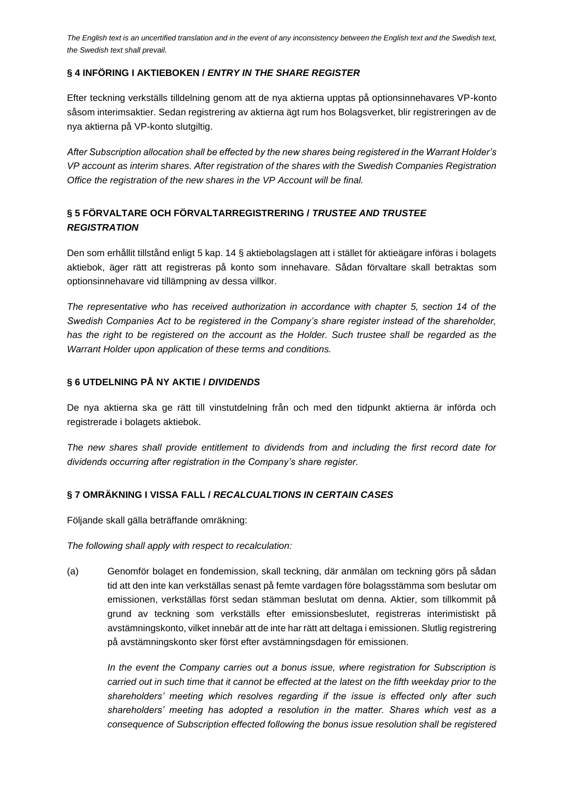### **§ 4 INFÖRING I AKTIEBOKEN /** *ENTRY IN THE SHARE REGISTER*

Efter teckning verkställs tilldelning genom att de nya aktierna upptas på optionsinnehavares VP-konto såsom interimsaktier. Sedan registrering av aktierna ägt rum hos Bolagsverket, blir registreringen av de nya aktierna på VP-konto slutgiltig.

*After Subscription allocation shall be effected by the new shares being registered in the Warrant Holder's VP account as interim shares. After registration of the shares with the Swedish Companies Registration Office the registration of the new shares in the VP Account will be final.*

# **§ 5 FÖRVALTARE OCH FÖRVALTARREGISTRERING /** *TRUSTEE AND TRUSTEE REGISTRATION*

Den som erhållit tillstånd enligt 5 kap. 14 § aktiebolagslagen att i stället för aktieägare införas i bolagets aktiebok, äger rätt att registreras på konto som innehavare. Sådan förvaltare skall betraktas som optionsinnehavare vid tillämpning av dessa villkor.

*The representative who has received authorization in accordance with chapter 5, section 14 of the Swedish Companies Act to be registered in the Company's share register instead of the shareholder,*  has the right to be registered on the account as the Holder. Such trustee shall be regarded as the *Warrant Holder upon application of these terms and conditions.* 

#### **§ 6 UTDELNING PÅ NY AKTIE /** *DIVIDENDS*

De nya aktierna ska ge rätt till vinstutdelning från och med den tidpunkt aktierna är införda och registrerade i bolagets aktiebok.

*The new shares shall provide entitlement to dividends from and including the first record date for dividends occurring after registration in the Company's share register.* 

## **§ 7 OMRÄKNING I VISSA FALL /** *RECALCUALTIONS IN CERTAIN CASES*

Följande skall gälla beträffande omräkning:

*The following shall apply with respect to recalculation:*

(a) Genomför bolaget en fondemission, skall teckning, där anmälan om teckning görs på sådan tid att den inte kan verkställas senast på femte vardagen före bolagsstämma som beslutar om emissionen, verkställas först sedan stämman beslutat om denna. Aktier, som tillkommit på grund av teckning som verkställs efter emissionsbeslutet, registreras interimistiskt på avstämningskonto, vilket innebär att de inte har rätt att deltaga i emissionen. Slutlig registrering på avstämningskonto sker först efter avstämningsdagen för emissionen.

*In the event the Company carries out a bonus issue, where registration for Subscription is carried out in such time that it cannot be effected at the latest on the fifth weekday prior to the shareholders' meeting which resolves regarding if the issue is effected only after such shareholders' meeting has adopted a resolution in the matter. Shares which vest as a consequence of Subscription effected following the bonus issue resolution shall be registered*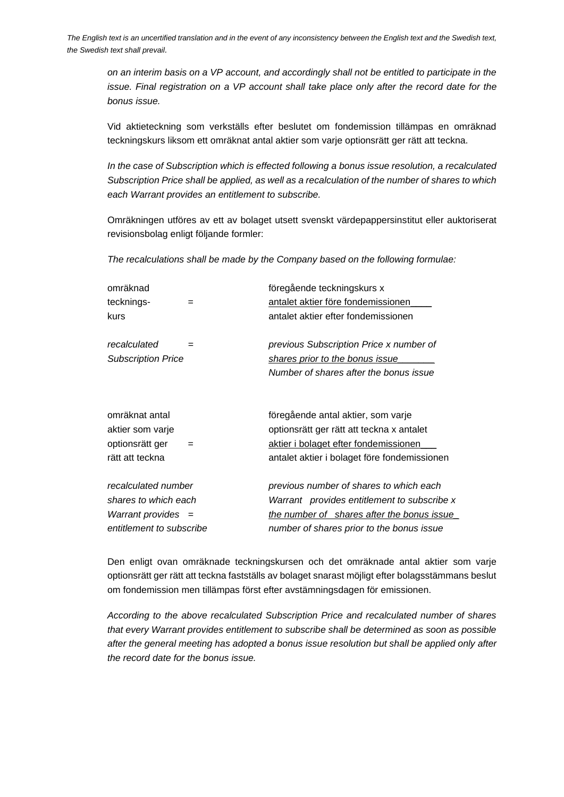*on an interim basis on a VP account, and accordingly shall not be entitled to participate in the issue. Final registration on a VP account shall take place only after the record date for the bonus issue.*

Vid aktieteckning som verkställs efter beslutet om fondemission tillämpas en omräknad teckningskurs liksom ett omräknat antal aktier som varje optionsrätt ger rätt att teckna.

*In the case of Subscription which is effected following a bonus issue resolution, a recalculated Subscription Price shall be applied, as well as a recalculation of the number of shares to which each Warrant provides an entitlement to subscribe.*

Omräkningen utföres av ett av bolaget utsett svenskt värdepappersinstitut eller auktoriserat revisionsbolag enligt följande formler:

*The recalculations shall be made by the Company based on the following formulae:*

| omräknad                               |     | föregående teckningskurs x                   |
|----------------------------------------|-----|----------------------------------------------|
| tecknings-                             |     | antalet aktier före fondemissionen           |
| kurs                                   |     | antalet aktier efter fondemissionen          |
|                                        |     |                                              |
| recalculated                           | $=$ | previous Subscription Price x number of      |
| <b>Subscription Price</b>              |     | shares prior to the bonus issue              |
|                                        |     | Number of shares after the bonus issue       |
|                                        |     |                                              |
| omräknat antal                         |     | föregående antal aktier, som varje           |
| aktier som varje                       |     | optionsrätt ger rätt att teckna x antalet    |
| optionsrätt ger                        | =   | aktier i bolaget efter fondemissionen        |
| rätt att teckna                        |     | antalet aktier i bolaget före fondemissionen |
| recalculated number                    |     | previous number of shares to which each      |
| shares to which each                   |     | Warrant provides entitlement to subscribe x  |
| <i>Warrant provides <math>=</math></i> |     | the number of shares after the bonus issue   |
| entitlement to subscribe               |     | number of shares prior to the bonus issue    |

Den enligt ovan omräknade teckningskursen och det omräknade antal aktier som varje optionsrätt ger rätt att teckna fastställs av bolaget snarast möjligt efter bolagsstämmans beslut om fondemission men tillämpas först efter avstämningsdagen för emissionen.

*According to the above recalculated Subscription Price and recalculated number of shares that every Warrant provides entitlement to subscribe shall be determined as soon as possible after the general meeting has adopted a bonus issue resolution but shall be applied only after the record date for the bonus issue.*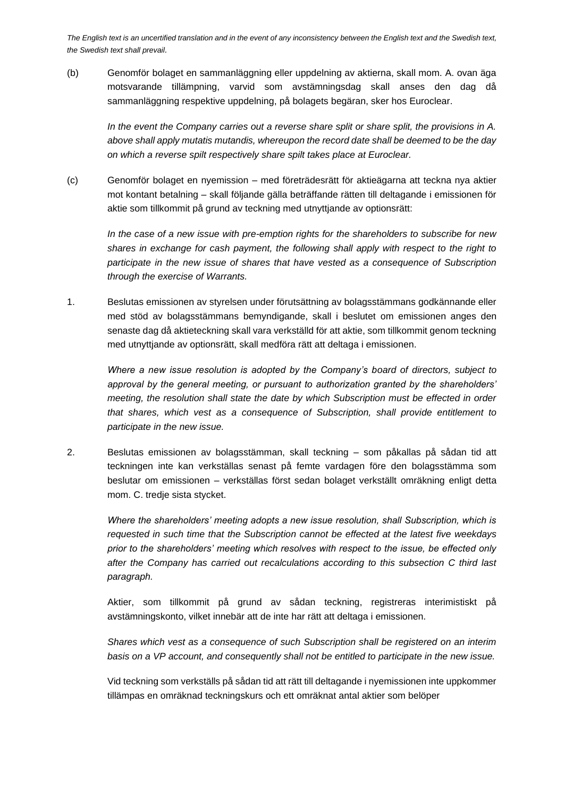(b) Genomför bolaget en sammanläggning eller uppdelning av aktierna, skall mom. A. ovan äga motsvarande tillämpning, varvid som avstämningsdag skall anses den dag då sammanläggning respektive uppdelning, på bolagets begäran, sker hos Euroclear.

*In the event the Company carries out a reverse share split or share split, the provisions in A. above shall apply mutatis mutandis, whereupon the record date shall be deemed to be the day on which a reverse spilt respectively share spilt takes place at Euroclear.* 

(c) Genomför bolaget en nyemission – med företrädesrätt för aktieägarna att teckna nya aktier mot kontant betalning – skall följande gälla beträffande rätten till deltagande i emissionen för aktie som tillkommit på grund av teckning med utnyttjande av optionsrätt:

*In the case of a new issue with pre-emption rights for the shareholders to subscribe for new shares in exchange for cash payment, the following shall apply with respect to the right to participate in the new issue of shares that have vested as a consequence of Subscription through the exercise of Warrants.*

1. Beslutas emissionen av styrelsen under förutsättning av bolagsstämmans godkännande eller med stöd av bolagsstämmans bemyndigande, skall i beslutet om emissionen anges den senaste dag då aktieteckning skall vara verkställd för att aktie, som tillkommit genom teckning med utnyttjande av optionsrätt, skall medföra rätt att deltaga i emissionen.

*Where a new issue resolution is adopted by the Company's board of directors, subject to approval by the general meeting, or pursuant to authorization granted by the shareholders' meeting, the resolution shall state the date by which Subscription must be effected in order that shares, which vest as a consequence of Subscription, shall provide entitlement to participate in the new issue.*

2. Beslutas emissionen av bolagsstämman, skall teckning – som påkallas på sådan tid att teckningen inte kan verkställas senast på femte vardagen före den bolagsstämma som beslutar om emissionen – verkställas först sedan bolaget verkställt omräkning enligt detta mom. C. tredje sista stycket.

*Where the shareholders' meeting adopts a new issue resolution, shall Subscription, which is requested in such time that the Subscription cannot be effected at the latest five weekdays prior to the shareholders' meeting which resolves with respect to the issue, be effected only after the Company has carried out recalculations according to this subsection C third last paragraph.* 

Aktier, som tillkommit på grund av sådan teckning, registreras interimistiskt på avstämningskonto, vilket innebär att de inte har rätt att deltaga i emissionen.

*Shares which vest as a consequence of such Subscription shall be registered on an interim basis on a VP account, and consequently shall not be entitled to participate in the new issue.*

Vid teckning som verkställs på sådan tid att rätt till deltagande i nyemissionen inte uppkommer tillämpas en omräknad teckningskurs och ett omräknat antal aktier som belöper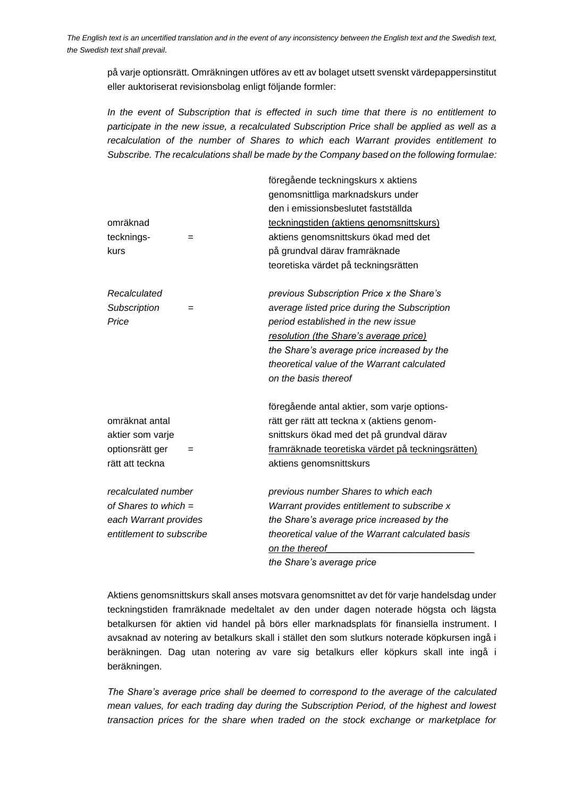på varje optionsrätt. Omräkningen utföres av ett av bolaget utsett svenskt värdepappersinstitut eller auktoriserat revisionsbolag enligt följande formler:

*In the event of Subscription that is effected in such time that there is no entitlement to participate in the new issue, a recalculated Subscription Price shall be applied as well as a recalculation of the number of Shares to which each Warrant provides entitlement to Subscribe. The recalculations shall be made by the Company based on the following formulae:*

|                          | föregående teckningskurs x aktiens                |
|--------------------------|---------------------------------------------------|
|                          | genomsnittliga marknadskurs under                 |
|                          | den i emissionsbeslutet fastställda               |
| omräknad                 | teckningstiden (aktiens genomsnittskurs)          |
| tecknings-<br>$=$        | aktiens genomsnittskurs ökad med det              |
| kurs                     | på grundval därav framräknade                     |
|                          | teoretiska värdet på teckningsrätten              |
| Recalculated             | previous Subscription Price x the Share's         |
| Subscription<br>$=$      | average listed price during the Subscription      |
| Price                    | period established in the new issue               |
|                          | resolution (the Share's average price)            |
|                          | the Share's average price increased by the        |
|                          | theoretical value of the Warrant calculated       |
|                          | on the basis thereof                              |
|                          | föregående antal aktier, som varje options-       |
| omräknat antal           | rätt ger rätt att teckna x (aktiens genom-        |
| aktier som varje         | snittskurs ökad med det på grundval därav         |
| optionsrätt ger<br>=     | framräknade teoretiska värdet på teckningsrätten) |
| rätt att teckna          | aktiens genomsnittskurs                           |
| recalculated number      | previous number Shares to which each              |
| of Shares to which $=$   | Warrant provides entitlement to subscribe x       |
| each Warrant provides    | the Share's average price increased by the        |
| entitlement to subscribe | theoretical value of the Warrant calculated basis |
|                          | on the thereof                                    |
|                          | the Share's average price                         |

Aktiens genomsnittskurs skall anses motsvara genomsnittet av det för varje handelsdag under teckningstiden framräknade medeltalet av den under dagen noterade högsta och lägsta betalkursen för aktien vid handel på börs eller marknadsplats för finansiella instrument. I avsaknad av notering av betalkurs skall i stället den som slutkurs noterade köpkursen ingå i beräkningen. Dag utan notering av vare sig betalkurs eller köpkurs skall inte ingå i beräkningen.

*The Share's average price shall be deemed to correspond to the average of the calculated mean values, for each trading day during the Subscription Period, of the highest and lowest transaction prices for the share when traded on the stock exchange or marketplace for*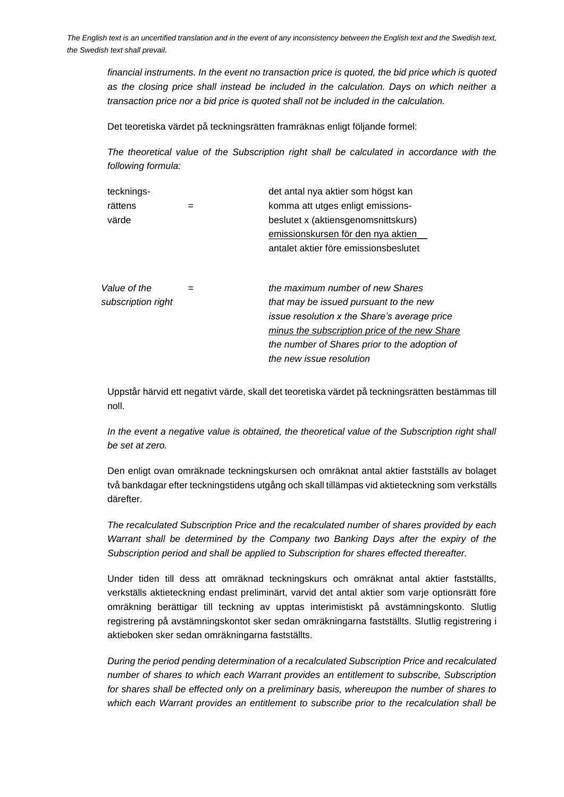*financial instruments. In the event no transaction price is quoted, the bid price which is quoted as the closing price shall instead be included in the calculation. Days on which neither a transaction price nor a bid price is quoted shall not be included in the calculation.*

Det teoretiska värdet på teckningsrätten framräknas enligt följande formel:

*The theoretical value of the Subscription right shall be calculated in accordance with the following formula:*

| tecknings-         |     | det antal nya aktier som högst kan                  |
|--------------------|-----|-----------------------------------------------------|
| rättens            | $=$ | komma att utges enligt emissions-                   |
| värde              |     | beslutet x (aktiensgenomsnittskurs)                 |
|                    |     | emissionskursen för den nya aktien                  |
|                    |     | antalet aktier före emissionsbeslutet               |
|                    |     |                                                     |
| Value of the       | $=$ | the maximum number of new Shares                    |
| subscription right |     | that may be issued pursuant to the new              |
|                    |     | <i>issue resolution x the Share's average price</i> |
|                    |     | minus the subscription price of the new Share       |
|                    |     | the number of Shares prior to the adoption of       |
|                    |     | the new issue resolution                            |
|                    |     |                                                     |

Uppstår härvid ett negativt värde, skall det teoretiska värdet på teckningsrätten bestämmas till noll.

In the event a negative value is obtained, the theoretical value of the Subscription right shall *be set at zero.*

Den enligt ovan omräknade teckningskursen och omräknat antal aktier fastställs av bolaget två bankdagar efter teckningstidens utgång och skall tillämpas vid aktieteckning som verkställs därefter.

*The recalculated Subscription Price and the recalculated number of shares provided by each Warrant shall be determined by the Company two Banking Days after the expiry of the Subscription period and shall be applied to Subscription for shares effected thereafter.*

Under tiden till dess att omräknad teckningskurs och omräknat antal aktier fastställts, verkställs aktieteckning endast preliminärt, varvid det antal aktier som varje optionsrätt före omräkning berättigar till teckning av upptas interimistiskt på avstämningskonto. Slutlig registrering på avstämningskontot sker sedan omräkningarna fastställts. Slutlig registrering i aktieboken sker sedan omräkningarna fastställts.

*During the period pending determination of a recalculated Subscription Price and recalculated number of shares to which each Warrant provides an entitlement to subscribe, Subscription for shares shall be effected only on a preliminary basis, whereupon the number of shares to which each Warrant provides an entitlement to subscribe prior to the recalculation shall be*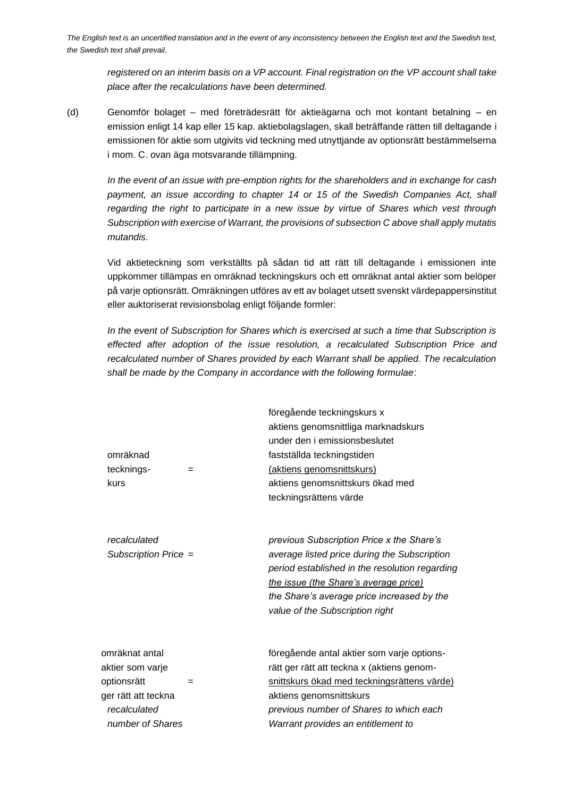*registered on an interim basis on a VP account. Final registration on the VP account shall take place after the recalculations have been determined.*

(d) Genomför bolaget – med företrädesrätt för aktieägarna och mot kontant betalning – en emission enligt 14 kap eller 15 kap. aktiebolagslagen, skall beträffande rätten till deltagande i emissionen för aktie som utgivits vid teckning med utnyttjande av optionsrätt bestämmelserna i mom. C. ovan äga motsvarande tillämpning.

*In the event of an issue with pre-emption rights for the shareholders and in exchange for cash*  payment, an issue according to chapter 14 or 15 of the Swedish Companies Act, shall *regarding the right to participate in a new issue by virtue of Shares which vest through Subscription with exercise of Warrant, the provisions of subsection C above shall apply mutatis mutandis.*

Vid aktieteckning som verkställts på sådan tid att rätt till deltagande i emissionen inte uppkommer tillämpas en omräknad teckningskurs och ett omräknat antal aktier som belöper på varje optionsrätt. Omräkningen utföres av ett av bolaget utsett svenskt värdepappersinstitut eller auktoriserat revisionsbolag enligt följande formler:

*In the event of Subscription for Shares which is exercised at such a time that Subscription is effected after adoption of the issue resolution, a recalculated Subscription Price and recalculated number of Shares provided by each Warrant shall be applied. The recalculation shall be made by the Company in accordance with the following formulae*:

| omräknad<br>tecknings-<br>$=$<br>kurs                                                                               | föregående teckningskurs x<br>aktiens genomsnittliga marknadskurs<br>under den i emissionsbeslutet<br>fastställda teckningstiden<br>(aktiens genomsnittskurs)<br>aktiens genomsnittskurs ökad med<br>teckningsrättens värde                                           |
|---------------------------------------------------------------------------------------------------------------------|-----------------------------------------------------------------------------------------------------------------------------------------------------------------------------------------------------------------------------------------------------------------------|
| recalculated<br>Subscription Price =                                                                                | previous Subscription Price x the Share's<br>average listed price during the Subscription<br>period established in the resolution regarding<br>the issue (the Share's average price)<br>the Share's average price increased by the<br>value of the Subscription right |
| omräknat antal<br>aktier som varje<br>optionsrätt<br>$=$<br>ger rätt att teckna<br>recalculated<br>number of Shares | föregående antal aktier som varje options-<br>rätt ger rätt att teckna x (aktiens genom-<br>snittskurs ökad med teckningsrättens värde)<br>aktiens genomsnittskurs<br>previous number of Shares to which each<br>Warrant provides an entitlement to                   |
|                                                                                                                     |                                                                                                                                                                                                                                                                       |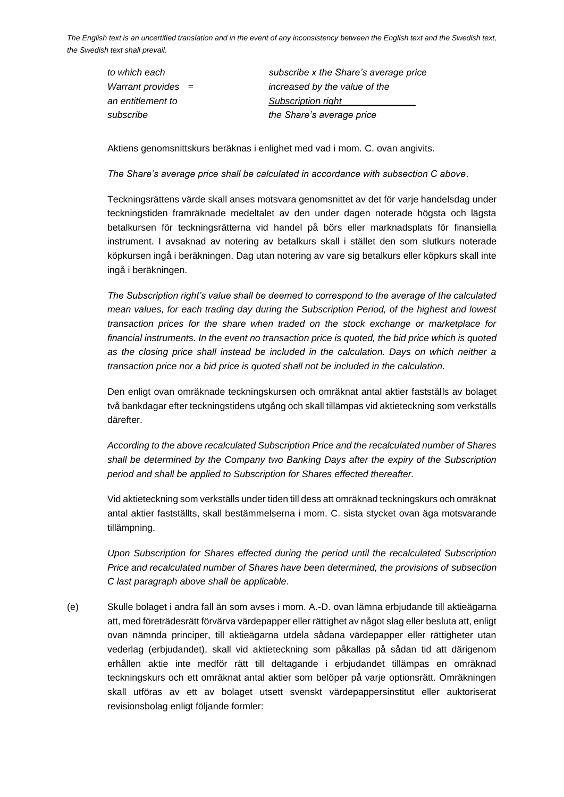| to which each               | subscribe x the Share's average price |
|-----------------------------|---------------------------------------|
| <i>Warrant provides</i> $=$ | increased by the value of the         |
| an entitlement to           | Subscription right                    |
| subscribe                   | the Share's average price             |

Aktiens genomsnittskurs beräknas i enlighet med vad i mom. C. ovan angivits.

*The Share's average price shall be calculated in accordance with subsection C above*.

Teckningsrättens värde skall anses motsvara genomsnittet av det för varje handelsdag under teckningstiden framräknade medeltalet av den under dagen noterade högsta och lägsta betalkursen för teckningsrätterna vid handel på börs eller marknadsplats för finansiella instrument. I avsaknad av notering av betalkurs skall i stället den som slutkurs noterade köpkursen ingå i beräkningen. Dag utan notering av vare sig betalkurs eller köpkurs skall inte ingå i beräkningen.

*The Subscription right's value shall be deemed to correspond to the average of the calculated mean values, for each trading day during the Subscription Period, of the highest and lowest transaction prices for the share when traded on the stock exchange or marketplace for financial instruments. In the event no transaction price is quoted, the bid price which is quoted as the closing price shall instead be included in the calculation. Days on which neither a transaction price nor a bid price is quoted shall not be included in the calculation.*

Den enligt ovan omräknade teckningskursen och omräknat antal aktier fastställs av bolaget två bankdagar efter teckningstidens utgång och skall tillämpas vid aktieteckning som verkställs därefter.

*According to the above recalculated Subscription Price and the recalculated number of Shares shall be determined by the Company two Banking Days after the expiry of the Subscription period and shall be applied to Subscription for Shares effected thereafter.*

Vid aktieteckning som verkställs under tiden till dess att omräknad teckningskurs och omräknat antal aktier fastställts, skall bestämmelserna i mom. C. sista stycket ovan äga motsvarande tillämpning.

*Upon Subscription for Shares effected during the period until the recalculated Subscription Price and recalculated number of Shares have been determined, the provisions of subsection C last paragraph above shall be applicable*.

(e) Skulle bolaget i andra fall än som avses i mom. A.-D. ovan lämna erbjudande till aktieägarna att, med företrädesrätt förvärva värdepapper eller rättighet av något slag eller besluta att, enligt ovan nämnda principer, till aktieägarna utdela sådana värdepapper eller rättigheter utan vederlag (erbjudandet), skall vid aktieteckning som påkallas på sådan tid att därigenom erhållen aktie inte medför rätt till deltagande i erbjudandet tillämpas en omräknad teckningskurs och ett omräknat antal aktier som belöper på varje optionsrätt. Omräkningen skall utföras av ett av bolaget utsett svenskt värdepappersinstitut eller auktoriserat revisionsbolag enligt följande formler: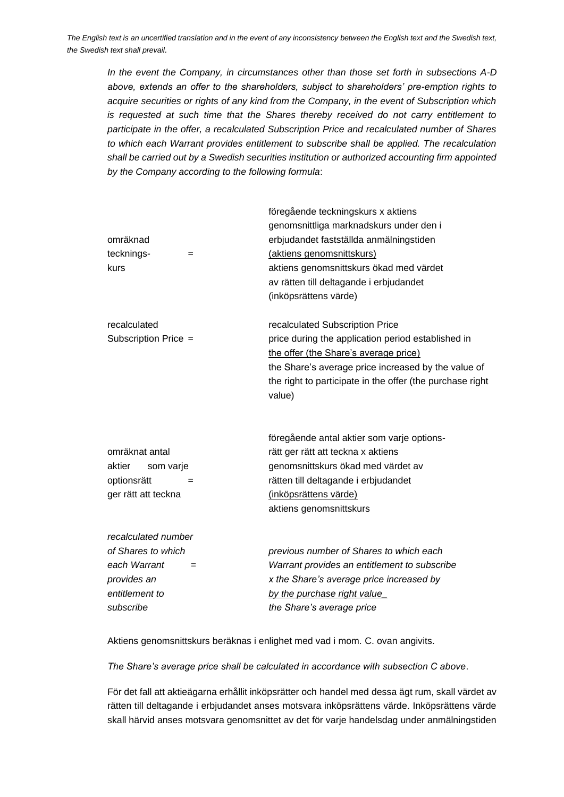*In the event the Company, in circumstances other than those set forth in subsections A-D above, extends an offer to the shareholders, subject to shareholders' pre-emption rights to acquire securities or rights of any kind from the Company, in the event of Subscription which is requested at such time that the Shares thereby received do not carry entitlement to participate in the offer, a recalculated Subscription Price and recalculated number of Shares to which each Warrant provides entitlement to subscribe shall be applied. The recalculation shall be carried out by a Swedish securities institution or authorized accounting firm appointed by the Company according to the following formula*:

| omräknad             |     | föregående teckningskurs x aktiens<br>genomsnittliga marknadskurs under den i<br>erbjudandet fastställda anmälningstiden |
|----------------------|-----|--------------------------------------------------------------------------------------------------------------------------|
| tecknings-           | $=$ | (aktiens genomsnittskurs)                                                                                                |
| kurs                 |     | aktiens genomsnittskurs ökad med värdet                                                                                  |
|                      |     | av rätten till deltagande i erbjudandet                                                                                  |
|                      |     | (inköpsrättens värde)                                                                                                    |
| recalculated         |     | recalculated Subscription Price                                                                                          |
| Subscription Price = |     | price during the application period established in                                                                       |
|                      |     | the offer (the Share's average price)                                                                                    |
|                      |     | the Share's average price increased by the value of                                                                      |
|                      |     | the right to participate in the offer (the purchase right<br>value)                                                      |
|                      |     |                                                                                                                          |
|                      |     | föregående antal aktier som varje options-                                                                               |
| omräknat antal       |     | rätt ger rätt att teckna x aktiens                                                                                       |
| aktier<br>som varje  |     | genomsnittskurs ökad med värdet av                                                                                       |
| optionsrätt          |     | rätten till deltagande i erbjudandet                                                                                     |
| ger rätt att teckna  |     | (inköpsrättens värde)                                                                                                    |
|                      |     | aktiens genomsnittskurs                                                                                                  |
| recalculated number  |     |                                                                                                                          |
| of Shares to which   |     | previous number of Shares to which each                                                                                  |
| each Warrant         | $=$ | Warrant provides an entitlement to subscribe                                                                             |
| provides an          |     | x the Share's average price increased by                                                                                 |
| entitlement to       |     | by the purchase right value                                                                                              |
| subscribe            |     | the Share's average price                                                                                                |

Aktiens genomsnittskurs beräknas i enlighet med vad i mom. C. ovan angivits.

*The Share's average price shall be calculated in accordance with subsection C above*.

För det fall att aktieägarna erhållit inköpsrätter och handel med dessa ägt rum, skall värdet av rätten till deltagande i erbjudandet anses motsvara inköpsrättens värde. Inköpsrättens värde skall härvid anses motsvara genomsnittet av det för varje handelsdag under anmälningstiden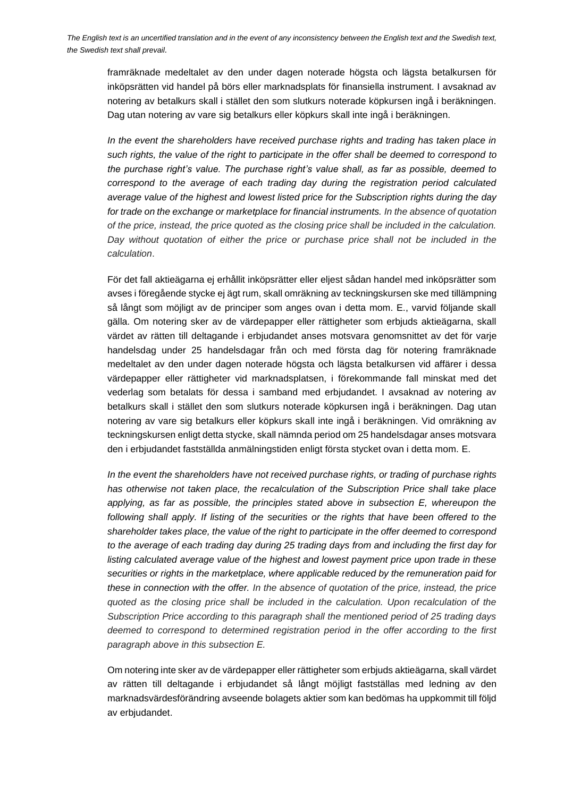framräknade medeltalet av den under dagen noterade högsta och lägsta betalkursen för inköpsrätten vid handel på börs eller marknadsplats för finansiella instrument. I avsaknad av notering av betalkurs skall i stället den som slutkurs noterade köpkursen ingå i beräkningen. Dag utan notering av vare sig betalkurs eller köpkurs skall inte ingå i beräkningen.

*In the event the shareholders have received purchase rights and trading has taken place in such rights, the value of the right to participate in the offer shall be deemed to correspond to the purchase right's value. The purchase right's value shall, as far as possible, deemed to correspond to the average of each trading day during the registration period calculated average value of the highest and lowest listed price for the Subscription rights during the day for trade on the exchange or marketplace for financial instruments. In the absence of quotation of the price, instead, the price quoted as the closing price shall be included in the calculation. Day without quotation of either the price or purchase price shall not be included in the calculation*.

För det fall aktieägarna ej erhållit inköpsrätter eller eljest sådan handel med inköpsrätter som avses i föregående stycke ej ägt rum, skall omräkning av teckningskursen ske med tillämpning så långt som möjligt av de principer som anges ovan i detta mom. E., varvid följande skall gälla. Om notering sker av de värdepapper eller rättigheter som erbjuds aktieägarna, skall värdet av rätten till deltagande i erbjudandet anses motsvara genomsnittet av det för varje handelsdag under 25 handelsdagar från och med första dag för notering framräknade medeltalet av den under dagen noterade högsta och lägsta betalkursen vid affärer i dessa värdepapper eller rättigheter vid marknadsplatsen, i förekommande fall minskat med det vederlag som betalats för dessa i samband med erbjudandet. I avsaknad av notering av betalkurs skall i stället den som slutkurs noterade köpkursen ingå i beräkningen. Dag utan notering av vare sig betalkurs eller köpkurs skall inte ingå i beräkningen. Vid omräkning av teckningskursen enligt detta stycke, skall nämnda period om 25 handelsdagar anses motsvara den i erbjudandet fastställda anmälningstiden enligt första stycket ovan i detta mom. E.

*In the event the shareholders have not received purchase rights, or trading of purchase rights has otherwise not taken place, the recalculation of the Subscription Price shall take place applying, as far as possible, the principles stated above in subsection E, whereupon the following shall apply. If listing of the securities or the rights that have been offered to the shareholder takes place, the value of the right to participate in the offer deemed to correspond to the average of each trading day during 25 trading days from and including the first day for*  listing calculated average value of the highest and lowest payment price upon trade in these *securities or rights in the marketplace, where applicable reduced by the remuneration paid for these in connection with the offer. In the absence of quotation of the price, instead, the price quoted as the closing price shall be included in the calculation. Upon recalculation of the Subscription Price according to this paragraph shall the mentioned period of 25 trading days deemed to correspond to determined registration period in the offer according to the first paragraph above in this subsection E.* 

Om notering inte sker av de värdepapper eller rättigheter som erbjuds aktieägarna, skall värdet av rätten till deltagande i erbjudandet så långt möjligt fastställas med ledning av den marknadsvärdesförändring avseende bolagets aktier som kan bedömas ha uppkommit till följd av erbjudandet.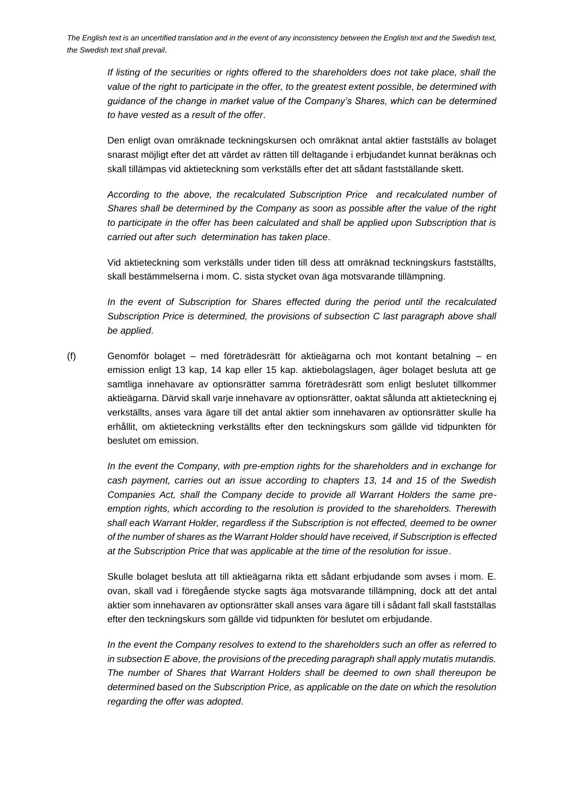*If listing of the securities or rights offered to the shareholders does not take place, shall the value of the right to participate in the offer, to the greatest extent possible, be determined with guidance of the change in market value of the Company's Shares, which can be determined to have vested as a result of the offer*.

Den enligt ovan omräknade teckningskursen och omräknat antal aktier fastställs av bolaget snarast möjligt efter det att värdet av rätten till deltagande i erbjudandet kunnat beräknas och skall tillämpas vid aktieteckning som verkställs efter det att sådant fastställande skett.

*According to the above, the recalculated Subscription Price and recalculated number of Shares shall be determined by the Company as soon as possible after the value of the right to participate in the offer has been calculated and shall be applied upon Subscription that is carried out after such determination has taken place*.

Vid aktieteckning som verkställs under tiden till dess att omräknad teckningskurs fastställts, skall bestämmelserna i mom. C. sista stycket ovan äga motsvarande tillämpning.

*In the event of Subscription for Shares effected during the period until the recalculated Subscription Price is determined, the provisions of subsection C last paragraph above shall be applied*.

(f) Genomför bolaget – med företrädesrätt för aktieägarna och mot kontant betalning – en emission enligt 13 kap, 14 kap eller 15 kap. aktiebolagslagen, äger bolaget besluta att ge samtliga innehavare av optionsrätter samma företrädesrätt som enligt beslutet tillkommer aktieägarna. Därvid skall varje innehavare av optionsrätter, oaktat sålunda att aktieteckning ej verkställts, anses vara ägare till det antal aktier som innehavaren av optionsrätter skulle ha erhållit, om aktieteckning verkställts efter den teckningskurs som gällde vid tidpunkten för beslutet om emission.

*In the event the Company, with pre-emption rights for the shareholders and in exchange for cash payment, carries out an issue according to chapters 13, 14 and 15 of the Swedish Companies Act, shall the Company decide to provide all Warrant Holders the same preemption rights, which according to the resolution is provided to the shareholders. Therewith shall each Warrant Holder, regardless if the Subscription is not effected, deemed to be owner of the number of shares as the Warrant Holder should have received, if Subscription is effected at the Subscription Price that was applicable at the time of the resolution for issue*.

Skulle bolaget besluta att till aktieägarna rikta ett sådant erbjudande som avses i mom. E. ovan, skall vad i föregående stycke sagts äga motsvarande tillämpning, dock att det antal aktier som innehavaren av optionsrätter skall anses vara ägare till i sådant fall skall fastställas efter den teckningskurs som gällde vid tidpunkten för beslutet om erbjudande.

*In the event the Company resolves to extend to the shareholders such an offer as referred to in subsection E above, the provisions of the preceding paragraph shall apply mutatis mutandis. The number of Shares that Warrant Holders shall be deemed to own shall thereupon be determined based on the Subscription Price, as applicable on the date on which the resolution regarding the offer was adopted*.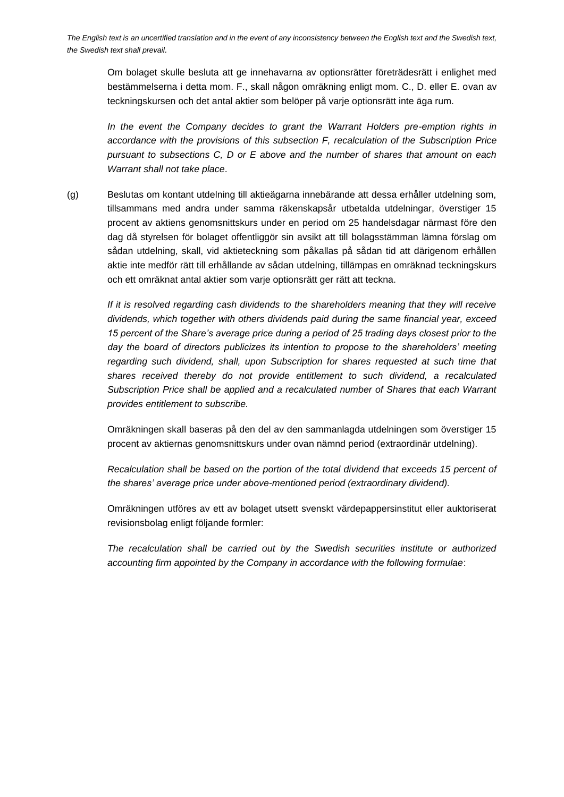Om bolaget skulle besluta att ge innehavarna av optionsrätter företrädesrätt i enlighet med bestämmelserna i detta mom. F., skall någon omräkning enligt mom. C., D. eller E. ovan av teckningskursen och det antal aktier som belöper på varje optionsrätt inte äga rum.

*In the event the Company decides to grant the Warrant Holders pre-emption rights in accordance with the provisions of this subsection F, recalculation of the Subscription Price pursuant to subsections C, D or E above and the number of shares that amount on each Warrant shall not take place*.

(g) Beslutas om kontant utdelning till aktieägarna innebärande att dessa erhåller utdelning som, tillsammans med andra under samma räkenskapsår utbetalda utdelningar, överstiger 15 procent av aktiens genomsnittskurs under en period om 25 handelsdagar närmast före den dag då styrelsen för bolaget offentliggör sin avsikt att till bolagsstämman lämna förslag om sådan utdelning, skall, vid aktieteckning som påkallas på sådan tid att därigenom erhållen aktie inte medför rätt till erhållande av sådan utdelning, tillämpas en omräknad teckningskurs och ett omräknat antal aktier som varje optionsrätt ger rätt att teckna.

*If it is resolved regarding cash dividends to the shareholders meaning that they will receive dividends, which together with others dividends paid during the same financial year, exceed 15 percent of the Share's average price during a period of 25 trading days closest prior to the day the board of directors publicizes its intention to propose to the shareholders' meeting regarding such dividend, shall, upon Subscription for shares requested at such time that shares received thereby do not provide entitlement to such dividend, a recalculated Subscription Price shall be applied and a recalculated number of Shares that each Warrant provides entitlement to subscribe.*

Omräkningen skall baseras på den del av den sammanlagda utdelningen som överstiger 15 procent av aktiernas genomsnittskurs under ovan nämnd period (extraordinär utdelning).

*Recalculation shall be based on the portion of the total dividend that exceeds 15 percent of the shares' average price under above-mentioned period (extraordinary dividend).*

Omräkningen utföres av ett av bolaget utsett svenskt värdepappersinstitut eller auktoriserat revisionsbolag enligt följande formler:

*The recalculation shall be carried out by the Swedish securities institute or authorized accounting firm appointed by the Company in accordance with the following formulae*: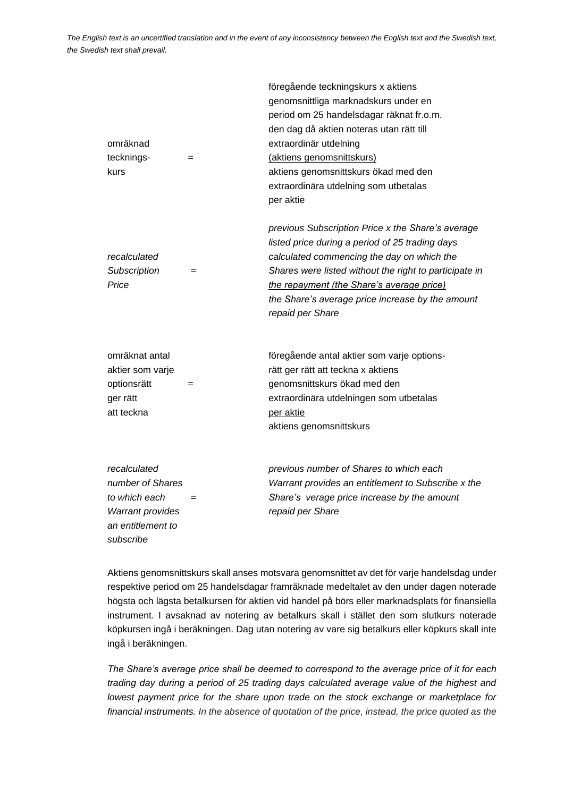|                                       |     | föregående teckningskurs x aktiens<br>genomsnittliga marknadskurs under en                                                                                                                                                                                                                                                        |
|---------------------------------------|-----|-----------------------------------------------------------------------------------------------------------------------------------------------------------------------------------------------------------------------------------------------------------------------------------------------------------------------------------|
|                                       |     | period om 25 handelsdagar räknat fr.o.m.                                                                                                                                                                                                                                                                                          |
|                                       |     | den dag då aktien noteras utan rätt till                                                                                                                                                                                                                                                                                          |
| omräknad                              |     | extraordinär utdelning                                                                                                                                                                                                                                                                                                            |
| tecknings-                            | $=$ | (aktiens genomsnittskurs)                                                                                                                                                                                                                                                                                                         |
| kurs                                  |     | aktiens genomsnittskurs ökad med den                                                                                                                                                                                                                                                                                              |
|                                       |     | extraordinära utdelning som utbetalas                                                                                                                                                                                                                                                                                             |
|                                       |     | per aktie                                                                                                                                                                                                                                                                                                                         |
| recalculated<br>Subscription<br>Price | $=$ | previous Subscription Price x the Share's average<br>listed price during a period of 25 trading days<br>calculated commencing the day on which the<br>Shares were listed without the right to participate in<br>the repayment (the Share's average price)<br>the Share's average price increase by the amount<br>repaid per Share |
| omräknat antal                        |     | föregående antal aktier som varje options-                                                                                                                                                                                                                                                                                        |
| aktier som varje                      |     | rätt ger rätt att teckna x aktiens                                                                                                                                                                                                                                                                                                |
| optionsrätt                           | $=$ | genomsnittskurs ökad med den                                                                                                                                                                                                                                                                                                      |
| ger rätt                              |     | extraordinära utdelningen som utbetalas                                                                                                                                                                                                                                                                                           |
| att teckna                            |     | per aktie                                                                                                                                                                                                                                                                                                                         |
|                                       |     | aktiens genomsnittskurs                                                                                                                                                                                                                                                                                                           |
|                                       |     |                                                                                                                                                                                                                                                                                                                                   |
| recalculated                          |     | previous number of Shares to which each                                                                                                                                                                                                                                                                                           |
| number of Shares                      |     | Warrant provides an entitlement to Subscribe x the                                                                                                                                                                                                                                                                                |
| to which each                         | $=$ | Share's verage price increase by the amount                                                                                                                                                                                                                                                                                       |
| <b>Warrant provides</b>               |     | repaid per Share                                                                                                                                                                                                                                                                                                                  |
| an entitlement to                     |     |                                                                                                                                                                                                                                                                                                                                   |
| subscribe                             |     |                                                                                                                                                                                                                                                                                                                                   |

Aktiens genomsnittskurs skall anses motsvara genomsnittet av det för varje handelsdag under respektive period om 25 handelsdagar framräknade medeltalet av den under dagen noterade högsta och lägsta betalkursen för aktien vid handel på börs eller marknadsplats för finansiella instrument. I avsaknad av notering av betalkurs skall i stället den som slutkurs noterade köpkursen ingå i beräkningen. Dag utan notering av vare sig betalkurs eller köpkurs skall inte ingå i beräkningen.

*The Share's average price shall be deemed to correspond to the average price of it for each trading day during a period of 25 trading days calculated average value of the highest and lowest payment price for the share upon trade on the stock exchange or marketplace for financial instruments. In the absence of quotation of the price, instead, the price quoted as the*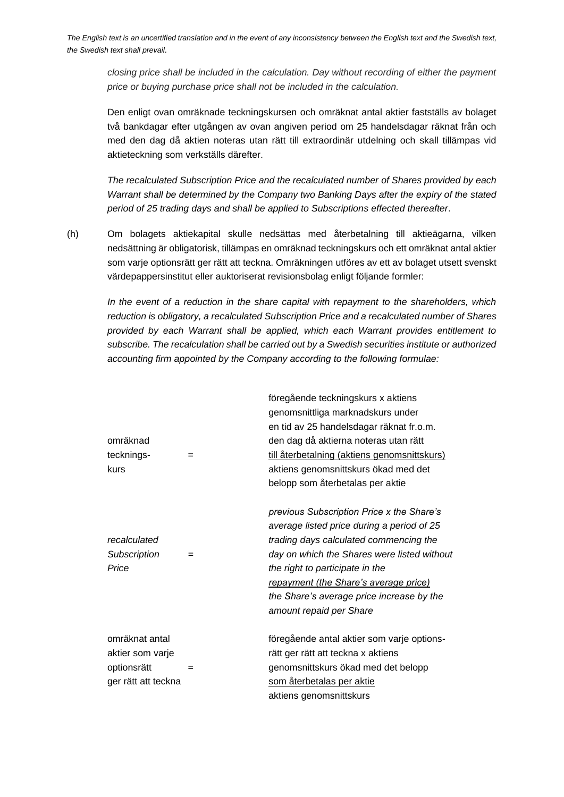*closing price shall be included in the calculation. Day without recording of either the payment price or buying purchase price shall not be included in the calculation.*

Den enligt ovan omräknade teckningskursen och omräknat antal aktier fastställs av bolaget två bankdagar efter utgången av ovan angiven period om 25 handelsdagar räknat från och med den dag då aktien noteras utan rätt till extraordinär utdelning och skall tillämpas vid aktieteckning som verkställs därefter.

*The recalculated Subscription Price and the recalculated number of Shares provided by each Warrant shall be determined by the Company two Banking Days after the expiry of the stated period of 25 trading days and shall be applied to Subscriptions effected thereafter*.

(h) Om bolagets aktiekapital skulle nedsättas med återbetalning till aktieägarna, vilken nedsättning är obligatorisk, tillämpas en omräknad teckningskurs och ett omräknat antal aktier som varje optionsrätt ger rätt att teckna. Omräkningen utföres av ett av bolaget utsett svenskt värdepappersinstitut eller auktoriserat revisionsbolag enligt följande formler:

*In the event of a reduction in the share capital with repayment to the shareholders, which reduction is obligatory, a recalculated Subscription Price and a recalculated number of Shares provided by each Warrant shall be applied, which each Warrant provides entitlement to subscribe. The recalculation shall be carried out by a Swedish securities institute or authorized accounting firm appointed by the Company according to the following formulae:*

|                     |     | föregående teckningskurs x aktiens           |
|---------------------|-----|----------------------------------------------|
|                     |     | genomsnittliga marknadskurs under            |
|                     |     | en tid av 25 handelsdagar räknat fr.o.m.     |
| omräknad            |     | den dag då aktierna noteras utan rätt        |
| tecknings-          | $=$ | till återbetalning (aktiens genomsnittskurs) |
| kurs                |     | aktiens genomsnittskurs ökad med det         |
|                     |     | belopp som återbetalas per aktie             |
|                     |     | previous Subscription Price x the Share's    |
|                     |     | average listed price during a period of 25   |
| recalculated        |     | trading days calculated commencing the       |
| Subscription        | $=$ | day on which the Shares were listed without  |
| Price               |     | the right to participate in the              |
|                     |     | repayment (the Share's average price)        |
|                     |     | the Share's average price increase by the    |
|                     |     | amount repaid per Share                      |
| omräknat antal      |     | föregående antal aktier som varje options-   |
| aktier som varje    |     | rätt ger rätt att teckna x aktiens           |
| optionsrätt         | $=$ | genomsnittskurs ökad med det belopp          |
| ger rätt att teckna |     | som återbetalas per aktie                    |
|                     |     | aktiens genomsnittskurs                      |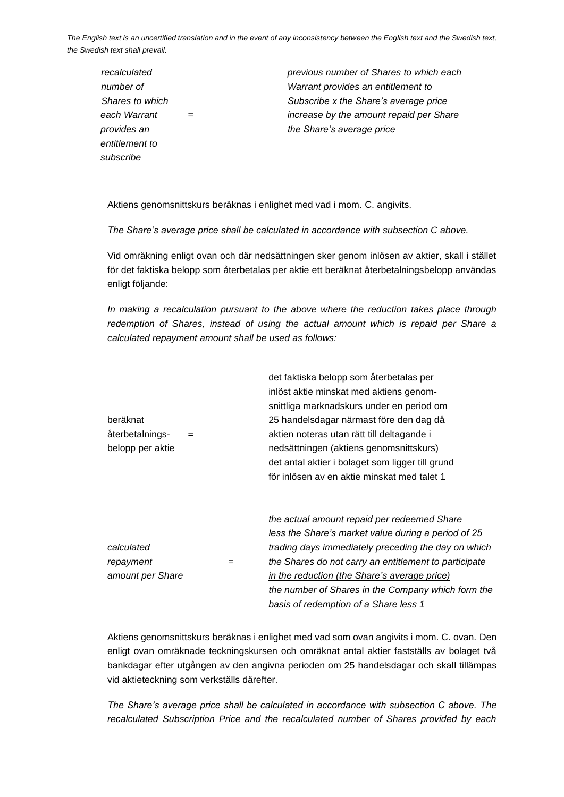| previous number of Shares to which each |
|-----------------------------------------|
| Warrant provides an entitlement to      |
| Subscribe x the Share's average price   |
| increase by the amount repaid per Share |
| the Share's average price               |
|                                         |
|                                         |
|                                         |

Aktiens genomsnittskurs beräknas i enlighet med vad i mom. C. angivits.

*The Share's average price shall be calculated in accordance with subsection C above.*

Vid omräkning enligt ovan och där nedsättningen sker genom inlösen av aktier, skall i stället för det faktiska belopp som återbetalas per aktie ett beräknat återbetalningsbelopp användas enligt följande:

*In making a recalculation pursuant to the above where the reduction takes place through* redemption of Shares, instead of using the actual amount which is repaid per Share a *calculated repayment amount shall be used as follows:*

|                  |     |     | det faktiska belopp som återbetalas per               |
|------------------|-----|-----|-------------------------------------------------------|
|                  |     |     | inlöst aktie minskat med aktiens genom-               |
|                  |     |     | snittliga marknadskurs under en period om             |
| beräknat         |     |     | 25 handelsdagar närmast före den dag då               |
| återbetalnings-  | $=$ |     | aktien noteras utan rätt till deltagande i            |
| belopp per aktie |     |     | nedsättningen (aktiens genomsnittskurs)               |
|                  |     |     | det antal aktier i bolaget som ligger till grund      |
|                  |     |     | för inlösen av en aktie minskat med talet 1           |
|                  |     |     |                                                       |
|                  |     |     | the actual amount repaid per redeemed Share           |
|                  |     |     | less the Share's market value during a period of 25   |
| calculated       |     |     | trading days immediately preceding the day on which   |
| repayment        |     | $=$ | the Shares do not carry an entitlement to participate |
| amount per Share |     |     | in the reduction (the Share's average price)          |
|                  |     |     | the number of Shares in the Company which form the    |
|                  |     |     | basis of redemption of a Share less 1                 |
|                  |     |     |                                                       |

Aktiens genomsnittskurs beräknas i enlighet med vad som ovan angivits i mom. C. ovan. Den enligt ovan omräknade teckningskursen och omräknat antal aktier fastställs av bolaget två bankdagar efter utgången av den angivna perioden om 25 handelsdagar och skall tillämpas vid aktieteckning som verkställs därefter.

*The Share's average price shall be calculated in accordance with subsection C above. The recalculated Subscription Price and the recalculated number of Shares provided by each*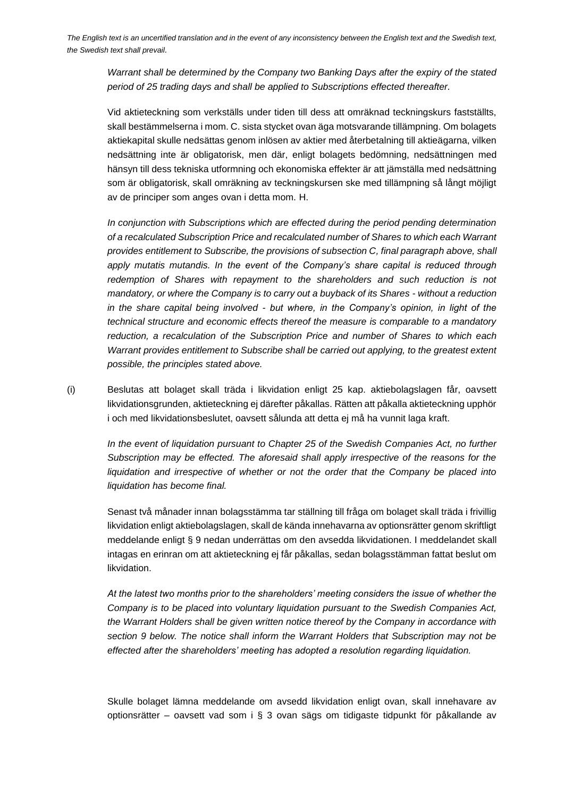*Warrant shall be determined by the Company two Banking Days after the expiry of the stated period of 25 trading days and shall be applied to Subscriptions effected thereafter.*

Vid aktieteckning som verkställs under tiden till dess att omräknad teckningskurs fastställts, skall bestämmelserna i mom. C. sista stycket ovan äga motsvarande tillämpning. Om bolagets aktiekapital skulle nedsättas genom inlösen av aktier med återbetalning till aktieägarna, vilken nedsättning inte är obligatorisk, men där, enligt bolagets bedömning, nedsättningen med hänsyn till dess tekniska utformning och ekonomiska effekter är att jämställa med nedsättning som är obligatorisk, skall omräkning av teckningskursen ske med tillämpning så långt möjligt av de principer som anges ovan i detta mom. H.

*In conjunction with Subscriptions which are effected during the period pending determination of a recalculated Subscription Price and recalculated number of Shares to which each Warrant provides entitlement to Subscribe, the provisions of subsection C, final paragraph above, shall apply mutatis mutandis. In the event of the Company's share capital is reduced through*  redemption of Shares with repayment to the shareholders and such reduction is not *mandatory, or where the Company is to carry out a buyback of its Shares - without a reduction in the share capital being involved - but where, in the Company's opinion, in light of the technical structure and economic effects thereof the measure is comparable to a mandatory reduction, a recalculation of the Subscription Price and number of Shares to which each Warrant provides entitlement to Subscribe shall be carried out applying, to the greatest extent possible, the principles stated above.*

(i) Beslutas att bolaget skall träda i likvidation enligt 25 kap. aktiebolagslagen får, oavsett likvidationsgrunden, aktieteckning ej därefter påkallas. Rätten att påkalla aktieteckning upphör i och med likvidationsbeslutet, oavsett sålunda att detta ej må ha vunnit laga kraft.

*In the event of liquidation pursuant to Chapter 25 of the Swedish Companies Act, no further Subscription may be effected. The aforesaid shall apply irrespective of the reasons for the liquidation and irrespective of whether or not the order that the Company be placed into liquidation has become final.*

Senast två månader innan bolagsstämma tar ställning till fråga om bolaget skall träda i frivillig likvidation enligt aktiebolagslagen, skall de kända innehavarna av optionsrätter genom skriftligt meddelande enligt § 9 nedan underrättas om den avsedda likvidationen. I meddelandet skall intagas en erinran om att aktieteckning ej får påkallas, sedan bolagsstämman fattat beslut om likvidation.

*At the latest two months prior to the shareholders' meeting considers the issue of whether the Company is to be placed into voluntary liquidation pursuant to the Swedish Companies Act, the Warrant Holders shall be given written notice thereof by the Company in accordance with section 9 below. The notice shall inform the Warrant Holders that Subscription may not be effected after the shareholders' meeting has adopted a resolution regarding liquidation.*

Skulle bolaget lämna meddelande om avsedd likvidation enligt ovan, skall innehavare av optionsrätter – oavsett vad som i § 3 ovan sägs om tidigaste tidpunkt för påkallande av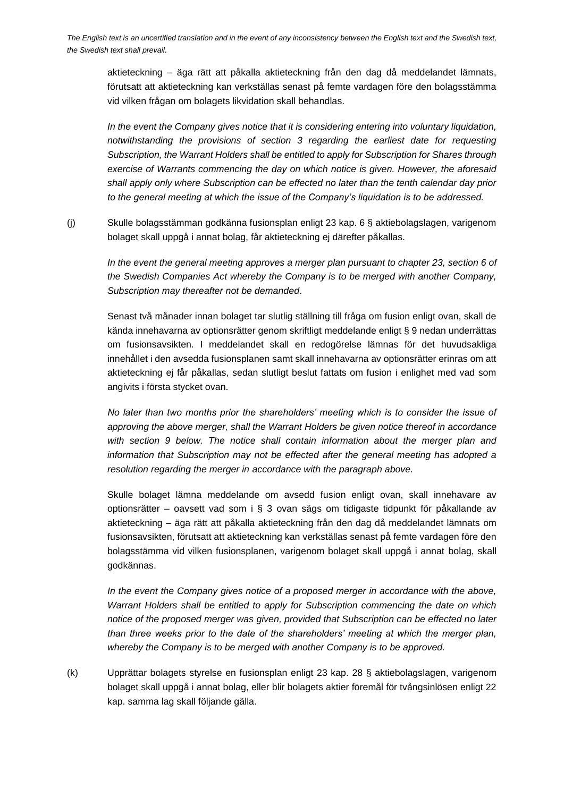aktieteckning – äga rätt att påkalla aktieteckning från den dag då meddelandet lämnats, förutsatt att aktieteckning kan verkställas senast på femte vardagen före den bolagsstämma vid vilken frågan om bolagets likvidation skall behandlas.

*In the event the Company gives notice that it is considering entering into voluntary liquidation, notwithstanding the provisions of section 3 regarding the earliest date for requesting Subscription, the Warrant Holders shall be entitled to apply for Subscription for Shares through exercise of Warrants commencing the day on which notice is given. However, the aforesaid shall apply only where Subscription can be effected no later than the tenth calendar day prior to the general meeting at which the issue of the Company's liquidation is to be addressed.*

(j) Skulle bolagsstämman godkänna fusionsplan enligt 23 kap. 6 § aktiebolagslagen, varigenom bolaget skall uppgå i annat bolag, får aktieteckning ej därefter påkallas.

*In the event the general meeting approves a merger plan pursuant to chapter 23, section 6 of the Swedish Companies Act whereby the Company is to be merged with another Company, Subscription may thereafter not be demanded*.

Senast två månader innan bolaget tar slutlig ställning till fråga om fusion enligt ovan, skall de kända innehavarna av optionsrätter genom skriftligt meddelande enligt § 9 nedan underrättas om fusionsavsikten. I meddelandet skall en redogörelse lämnas för det huvudsakliga innehållet i den avsedda fusionsplanen samt skall innehavarna av optionsrätter erinras om att aktieteckning ej får påkallas, sedan slutligt beslut fattats om fusion i enlighet med vad som angivits i första stycket ovan.

*No later than two months prior the shareholders' meeting which is to consider the issue of approving the above merger, shall the Warrant Holders be given notice thereof in accordance with section 9 below. The notice shall contain information about the merger plan and information that Subscription may not be effected after the general meeting has adopted a resolution regarding the merger in accordance with the paragraph above.*

Skulle bolaget lämna meddelande om avsedd fusion enligt ovan, skall innehavare av optionsrätter – oavsett vad som i § 3 ovan sägs om tidigaste tidpunkt för påkallande av aktieteckning – äga rätt att påkalla aktieteckning från den dag då meddelandet lämnats om fusionsavsikten, förutsatt att aktieteckning kan verkställas senast på femte vardagen före den bolagsstämma vid vilken fusionsplanen, varigenom bolaget skall uppgå i annat bolag, skall godkännas.

*In the event the Company gives notice of a proposed merger in accordance with the above, Warrant Holders shall be entitled to apply for Subscription commencing the date on which notice of the proposed merger was given, provided that Subscription can be effected no later than three weeks prior to the date of the shareholders' meeting at which the merger plan, whereby the Company is to be merged with another Company is to be approved.*

(k) Upprättar bolagets styrelse en fusionsplan enligt 23 kap. 28 § aktiebolagslagen, varigenom bolaget skall uppgå i annat bolag, eller blir bolagets aktier föremål för tvångsinlösen enligt 22 kap. samma lag skall följande gälla.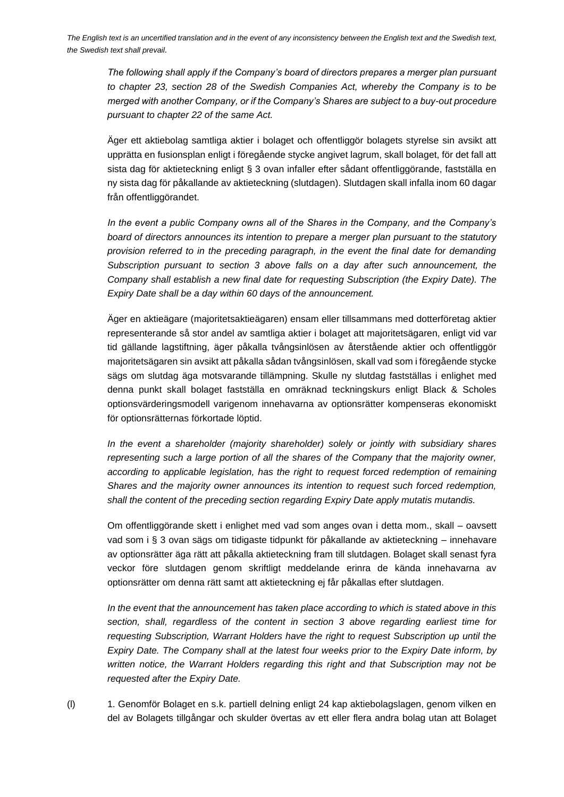*The following shall apply if the Company's board of directors prepares a merger plan pursuant to chapter 23, section 28 of the Swedish Companies Act, whereby the Company is to be merged with another Company, or if the Company's Shares are subject to a buy-out procedure pursuant to chapter 22 of the same Act.*

Äger ett aktiebolag samtliga aktier i bolaget och offentliggör bolagets styrelse sin avsikt att upprätta en fusionsplan enligt i föregående stycke angivet lagrum, skall bolaget, för det fall att sista dag för aktieteckning enligt § 3 ovan infaller efter sådant offentliggörande, fastställa en ny sista dag för påkallande av aktieteckning (slutdagen). Slutdagen skall infalla inom 60 dagar från offentliggörandet.

*In the event a public Company owns all of the Shares in the Company, and the Company's board of directors announces its intention to prepare a merger plan pursuant to the statutory provision referred to in the preceding paragraph, in the event the final date for demanding Subscription pursuant to section 3 above falls on a day after such announcement, the Company shall establish a new final date for requesting Subscription (the Expiry Date). The Expiry Date shall be a day within 60 days of the announcement.*

Äger en aktieägare (majoritetsaktieägaren) ensam eller tillsammans med dotterföretag aktier representerande så stor andel av samtliga aktier i bolaget att majoritetsägaren, enligt vid var tid gällande lagstiftning, äger påkalla tvångsinlösen av återstående aktier och offentliggör majoritetsägaren sin avsikt att påkalla sådan tvångsinlösen, skall vad som i föregående stycke sägs om slutdag äga motsvarande tillämpning. Skulle ny slutdag fastställas i enlighet med denna punkt skall bolaget fastställa en omräknad teckningskurs enligt Black & Scholes optionsvärderingsmodell varigenom innehavarna av optionsrätter kompenseras ekonomiskt för optionsrätternas förkortade löptid.

*In the event a shareholder (majority shareholder) solely or jointly with subsidiary shares representing such a large portion of all the shares of the Company that the majority owner, according to applicable legislation, has the right to request forced redemption of remaining Shares and the majority owner announces its intention to request such forced redemption, shall the content of the preceding section regarding Expiry Date apply mutatis mutandis.*

Om offentliggörande skett i enlighet med vad som anges ovan i detta mom., skall – oavsett vad som i § 3 ovan sägs om tidigaste tidpunkt för påkallande av aktieteckning – innehavare av optionsrätter äga rätt att påkalla aktieteckning fram till slutdagen. Bolaget skall senast fyra veckor före slutdagen genom skriftligt meddelande erinra de kända innehavarna av optionsrätter om denna rätt samt att aktieteckning ej får påkallas efter slutdagen.

*In the event that the announcement has taken place according to which is stated above in this section, shall, regardless of the content in section 3 above regarding earliest time for requesting Subscription, Warrant Holders have the right to request Subscription up until the Expiry Date. The Company shall at the latest four weeks prior to the Expiry Date inform, by written notice, the Warrant Holders regarding this right and that Subscription may not be requested after the Expiry Date.*

(l) 1. Genomför Bolaget en s.k. partiell delning enligt 24 kap aktiebolagslagen, genom vilken en del av Bolagets tillgångar och skulder övertas av ett eller flera andra bolag utan att Bolaget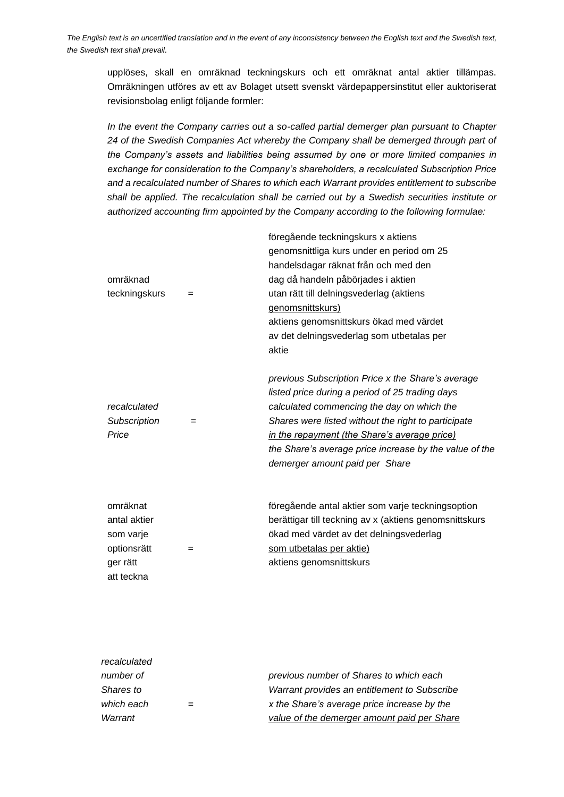upplöses, skall en omräknad teckningskurs och ett omräknat antal aktier tillämpas. Omräkningen utföres av ett av Bolaget utsett svenskt värdepappersinstitut eller auktoriserat revisionsbolag enligt följande formler:

*In the event the Company carries out a so-called partial demerger plan pursuant to Chapter 24 of the Swedish Companies Act whereby the Company shall be demerged through part of the Company's assets and liabilities being assumed by one or more limited companies in exchange for consideration to the Company's shareholders, a recalculated Subscription Price and a recalculated number of Shares to which each Warrant provides entitlement to subscribe shall be applied. The recalculation shall be carried out by a Swedish securities institute or authorized accounting firm appointed by the Company according to the following formulae:*

| omräknad<br>teckningskurs                                                      | $=$ | föregående teckningskurs x aktiens<br>genomsnittliga kurs under en period om 25<br>handelsdagar räknat från och med den<br>dag då handeln påbörjades i aktien<br>utan rätt till delningsvederlag (aktiens<br>genomsnittskurs)<br>aktiens genomsnittskurs ökad med värdet<br>av det delningsvederlag som utbetalas per<br>aktie                        |
|--------------------------------------------------------------------------------|-----|-------------------------------------------------------------------------------------------------------------------------------------------------------------------------------------------------------------------------------------------------------------------------------------------------------------------------------------------------------|
| recalculated<br>Subscription<br>Price                                          | $=$ | previous Subscription Price x the Share's average<br>listed price during a period of 25 trading days<br>calculated commencing the day on which the<br>Shares were listed without the right to participate<br>in the repayment (the Share's average price)<br>the Share's average price increase by the value of the<br>demerger amount paid per Share |
| omräknat<br>antal aktier<br>som varje<br>optionsrätt<br>ger rätt<br>att teckna | $=$ | föregående antal aktier som varje teckningsoption<br>berättigar till teckning av x (aktiens genomsnittskurs<br>ökad med värdet av det delningsvederlag<br>som utbetalas per aktie)<br>aktiens genomsnittskurs                                                                                                                                         |

| recalculated |                                              |
|--------------|----------------------------------------------|
| number of    | previous number of Shares to which each      |
| Shares to    | Warrant provides an entitlement to Subscribe |
| which each   | x the Share's average price increase by the  |
| Warrant      | value of the demerger amount paid per Share  |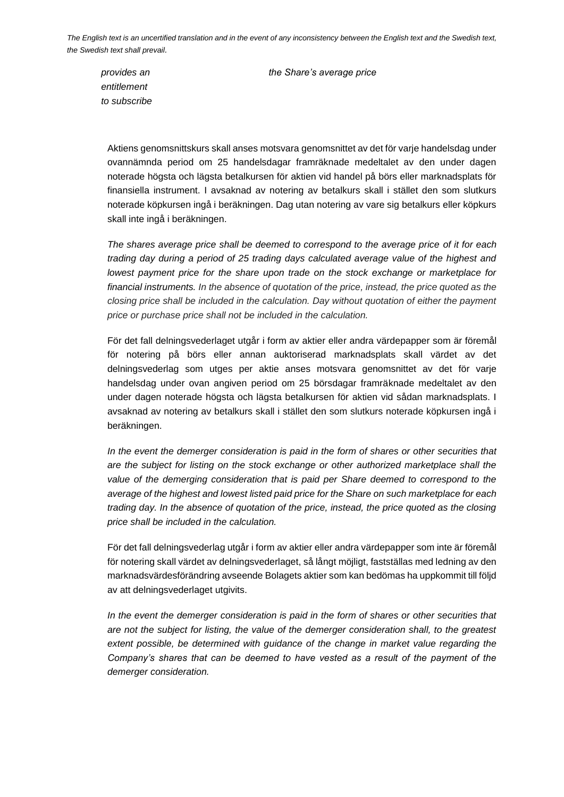*entitlement to subscribe*

*provides an the Share's average price*

Aktiens genomsnittskurs skall anses motsvara genomsnittet av det för varje handelsdag under ovannämnda period om 25 handelsdagar framräknade medeltalet av den under dagen noterade högsta och lägsta betalkursen för aktien vid handel på börs eller marknadsplats för finansiella instrument. I avsaknad av notering av betalkurs skall i stället den som slutkurs noterade köpkursen ingå i beräkningen. Dag utan notering av vare sig betalkurs eller köpkurs skall inte ingå i beräkningen.

*The shares average price shall be deemed to correspond to the average price of it for each trading day during a period of 25 trading days calculated average value of the highest and lowest payment price for the share upon trade on the stock exchange or marketplace for financial instruments. In the absence of quotation of the price, instead, the price quoted as the closing price shall be included in the calculation. Day without quotation of either the payment price or purchase price shall not be included in the calculation.*

För det fall delningsvederlaget utgår i form av aktier eller andra värdepapper som är föremål för notering på börs eller annan auktoriserad marknadsplats skall värdet av det delningsvederlag som utges per aktie anses motsvara genomsnittet av det för varje handelsdag under ovan angiven period om 25 börsdagar framräknade medeltalet av den under dagen noterade högsta och lägsta betalkursen för aktien vid sådan marknadsplats. I avsaknad av notering av betalkurs skall i stället den som slutkurs noterade köpkursen ingå i beräkningen.

In the event the demerger consideration is paid in the form of shares or other securities that *are the subject for listing on the stock exchange or other authorized marketplace shall the value of the demerging consideration that is paid per Share deemed to correspond to the average of the highest and lowest listed paid price for the Share on such marketplace for each trading day. In the absence of quotation of the price, instead, the price quoted as the closing price shall be included in the calculation.* 

För det fall delningsvederlag utgår i form av aktier eller andra värdepapper som inte är föremål för notering skall värdet av delningsvederlaget, så långt möjligt, fastställas med ledning av den marknadsvärdesförändring avseende Bolagets aktier som kan bedömas ha uppkommit till följd av att delningsvederlaget utgivits.

*In the event the demerger consideration is paid in the form of shares or other securities that are not the subject for listing, the value of the demerger consideration shall, to the greatest extent possible, be determined with guidance of the change in market value regarding the Company's shares that can be deemed to have vested as a result of the payment of the demerger consideration.*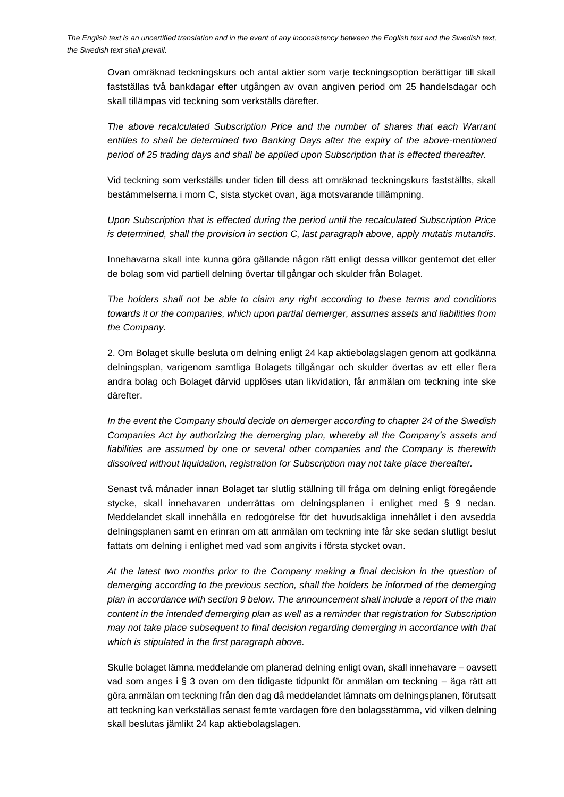Ovan omräknad teckningskurs och antal aktier som varje teckningsoption berättigar till skall fastställas två bankdagar efter utgången av ovan angiven period om 25 handelsdagar och skall tillämpas vid teckning som verkställs därefter.

*The above recalculated Subscription Price and the number of shares that each Warrant entitles to shall be determined two Banking Days after the expiry of the above-mentioned period of 25 trading days and shall be applied upon Subscription that is effected thereafter.* 

Vid teckning som verkställs under tiden till dess att omräknad teckningskurs fastställts, skall bestämmelserna i mom C, sista stycket ovan, äga motsvarande tillämpning.

*Upon Subscription that is effected during the period until the recalculated Subscription Price is determined, shall the provision in section C, last paragraph above, apply mutatis mutandis.*

Innehavarna skall inte kunna göra gällande någon rätt enligt dessa villkor gentemot det eller de bolag som vid partiell delning övertar tillgångar och skulder från Bolaget.

*The holders shall not be able to claim any right according to these terms and conditions towards it or the companies, which upon partial demerger, assumes assets and liabilities from the Company.* 

2. Om Bolaget skulle besluta om delning enligt 24 kap aktiebolagslagen genom att godkänna delningsplan, varigenom samtliga Bolagets tillgångar och skulder övertas av ett eller flera andra bolag och Bolaget därvid upplöses utan likvidation, får anmälan om teckning inte ske därefter.

*In the event the Company should decide on demerger according to chapter 24 of the Swedish Companies Act by authorizing the demerging plan, whereby all the Company's assets and*  liabilities are assumed by one or several other companies and the Company is therewith *dissolved without liquidation, registration for Subscription may not take place thereafter.*

Senast två månader innan Bolaget tar slutlig ställning till fråga om delning enligt föregående stycke, skall innehavaren underrättas om delningsplanen i enlighet med § 9 nedan. Meddelandet skall innehålla en redogörelse för det huvudsakliga innehållet i den avsedda delningsplanen samt en erinran om att anmälan om teckning inte får ske sedan slutligt beslut fattats om delning i enlighet med vad som angivits i första stycket ovan.

*At the latest two months prior to the Company making a final decision in the question of demerging according to the previous section, shall the holders be informed of the demerging plan in accordance with section 9 below. The announcement shall include a report of the main content in the intended demerging plan as well as a reminder that registration for Subscription may not take place subsequent to final decision regarding demerging in accordance with that which is stipulated in the first paragraph above.*

Skulle bolaget lämna meddelande om planerad delning enligt ovan, skall innehavare – oavsett vad som anges i § 3 ovan om den tidigaste tidpunkt för anmälan om teckning – äga rätt att göra anmälan om teckning från den dag då meddelandet lämnats om delningsplanen, förutsatt att teckning kan verkställas senast femte vardagen före den bolagsstämma, vid vilken delning skall beslutas jämlikt 24 kap aktiebolagslagen.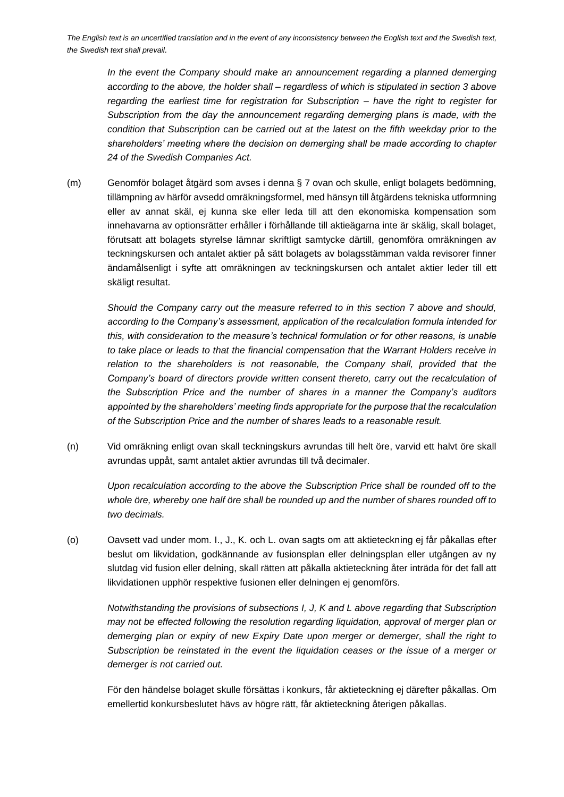*In the event the Company should make an announcement regarding a planned demerging according to the above, the holder shall – regardless of which is stipulated in section 3 above regarding the earliest time for registration for Subscription – have the right to register for Subscription from the day the announcement regarding demerging plans is made, with the condition that Subscription can be carried out at the latest on the fifth weekday prior to the shareholders' meeting where the decision on demerging shall be made according to chapter 24 of the Swedish Companies Act.*

(m) Genomför bolaget åtgärd som avses i denna § 7 ovan och skulle, enligt bolagets bedömning, tillämpning av härför avsedd omräkningsformel, med hänsyn till åtgärdens tekniska utformning eller av annat skäl, ej kunna ske eller leda till att den ekonomiska kompensation som innehavarna av optionsrätter erhåller i förhållande till aktieägarna inte är skälig, skall bolaget, förutsatt att bolagets styrelse lämnar skriftligt samtycke därtill, genomföra omräkningen av teckningskursen och antalet aktier på sätt bolagets av bolagsstämman valda revisorer finner ändamålsenligt i syfte att omräkningen av teckningskursen och antalet aktier leder till ett skäligt resultat.

*Should the Company carry out the measure referred to in this section 7 above and should, according to the Company's assessment, application of the recalculation formula intended for this, with consideration to the measure's technical formulation or for other reasons, is unable to take place or leads to that the financial compensation that the Warrant Holders receive in*  relation to the shareholders is not reasonable, the Company shall, provided that the *Company's board of directors provide written consent thereto, carry out the recalculation of the Subscription Price and the number of shares in a manner the Company's auditors appointed by the shareholders' meeting finds appropriate for the purpose that the recalculation of the Subscription Price and the number of shares leads to a reasonable result.*

(n) Vid omräkning enligt ovan skall teckningskurs avrundas till helt öre, varvid ett halvt öre skall avrundas uppåt, samt antalet aktier avrundas till två decimaler.

*Upon recalculation according to the above the Subscription Price shall be rounded off to the whole öre, whereby one half öre shall be rounded up and the number of shares rounded off to two decimals.* 

(o) Oavsett vad under mom. I., J., K. och L. ovan sagts om att aktieteckning ej får påkallas efter beslut om likvidation, godkännande av fusionsplan eller delningsplan eller utgången av ny slutdag vid fusion eller delning, skall rätten att påkalla aktieteckning åter inträda för det fall att likvidationen upphör respektive fusionen eller delningen ej genomförs.

*Notwithstanding the provisions of subsections I, J, K and L above regarding that Subscription may not be effected following the resolution regarding liquidation, approval of merger plan or demerging plan or expiry of new Expiry Date upon merger or demerger, shall the right to Subscription be reinstated in the event the liquidation ceases or the issue of a merger or demerger is not carried out.*

För den händelse bolaget skulle försättas i konkurs, får aktieteckning ej därefter påkallas. Om emellertid konkursbeslutet hävs av högre rätt, får aktieteckning återigen påkallas.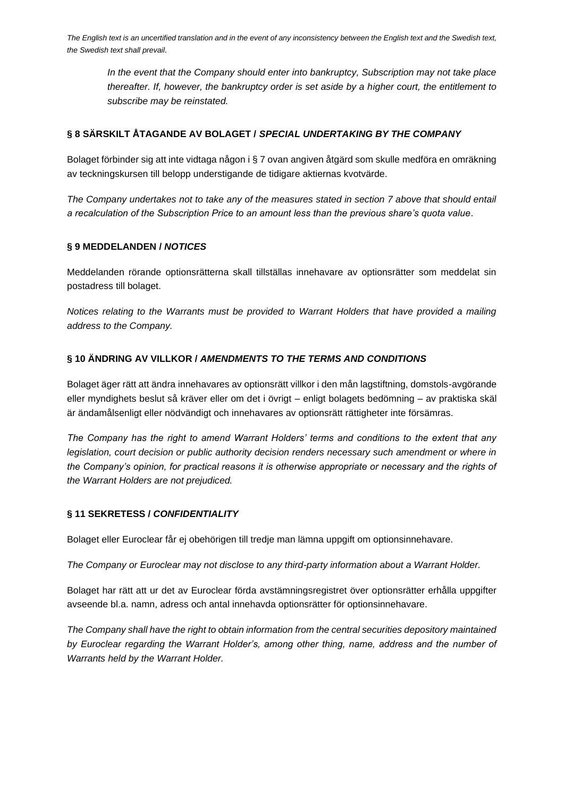*In the event that the Company should enter into bankruptcy, Subscription may not take place thereafter. If, however, the bankruptcy order is set aside by a higher court, the entitlement to subscribe may be reinstated.*

### **§ 8 SÄRSKILT ÅTAGANDE AV BOLAGET /** *SPECIAL UNDERTAKING BY THE COMPANY*

Bolaget förbinder sig att inte vidtaga någon i § 7 ovan angiven åtgärd som skulle medföra en omräkning av teckningskursen till belopp understigande de tidigare aktiernas kvotvärde.

*The Company undertakes not to take any of the measures stated in section 7 above that should entail a recalculation of the Subscription Price to an amount less than the previous share's quota value*.

#### **§ 9 MEDDELANDEN /** *NOTICES*

Meddelanden rörande optionsrätterna skall tillställas innehavare av optionsrätter som meddelat sin postadress till bolaget.

*Notices relating to the Warrants must be provided to Warrant Holders that have provided a mailing address to the Company.*

#### **§ 10 ÄNDRING AV VILLKOR /** *AMENDMENTS TO THE TERMS AND CONDITIONS*

Bolaget äger rätt att ändra innehavares av optionsrätt villkor i den mån lagstiftning, domstols-avgörande eller myndighets beslut så kräver eller om det i övrigt – enligt bolagets bedömning – av praktiska skäl är ändamålsenligt eller nödvändigt och innehavares av optionsrätt rättigheter inte försämras.

*The Company has the right to amend Warrant Holders' terms and conditions to the extent that any legislation, court decision or public authority decision renders necessary such amendment or where in the Company's opinion, for practical reasons it is otherwise appropriate or necessary and the rights of the Warrant Holders are not prejudiced.*

## **§ 11 SEKRETESS /** *CONFIDENTIALITY*

Bolaget eller Euroclear får ej obehörigen till tredje man lämna uppgift om optionsinnehavare.

*The Company or Euroclear may not disclose to any third-party information about a Warrant Holder.*

Bolaget har rätt att ur det av Euroclear förda avstämningsregistret över optionsrätter erhålla uppgifter avseende bl.a. namn, adress och antal innehavda optionsrätter för optionsinnehavare.

*The Company shall have the right to obtain information from the central securities depository maintained by Euroclear regarding the Warrant Holder's, among other thing, name, address and the number of Warrants held by the Warrant Holder.*